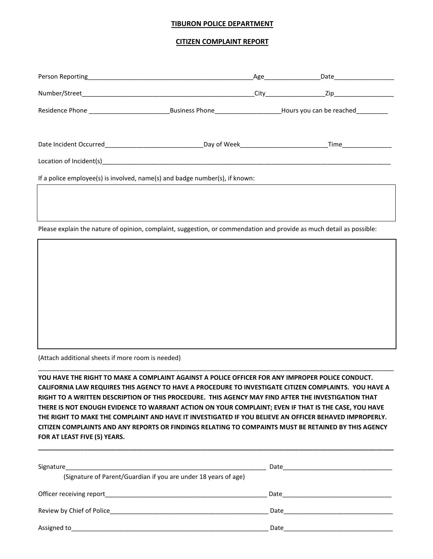## **TIBURON POLICE DEPARTMENT**

## **CITIZEN COMPLAINT REPORT**

| If a police employee(s) is involved, name(s) and badge number(s), if known:                                          |  |  |  |  |
|----------------------------------------------------------------------------------------------------------------------|--|--|--|--|
|                                                                                                                      |  |  |  |  |
|                                                                                                                      |  |  |  |  |
| Please explain the nature of opinion, complaint, suggestion, or commendation and provide as much detail as possible: |  |  |  |  |
|                                                                                                                      |  |  |  |  |

(Attach additional sheets if more room is needed)

**YOU HAVE THE RIGHT TO MAKE A COMPLAINT AGAINST A POLICE OFFICER FOR ANY IMPROPER POLICE CONDUCT. CALIFORNIA LAW REQUIRES THIS AGENCY TO HAVE A PROCEDURE TO INVESTIGATE CITIZEN COMPLAINTS. YOU HAVE A RIGHT TO A WRITTEN DESCRIPTION OF THIS PROCEDURE. THIS AGENCY MAY FIND AFTER THE INVESTIGATION THAT THERE IS NOT ENOUGH EVIDENCE TO WARRANT ACTION ON YOUR COMPLAINT; EVEN IF THAT IS THE CASE, YOU HAVE THE RIGHT TO MAKE THE COMPLAINT AND HAVE IT INVESTIGATED IF YOU BELIEVE AN OFFICER BEHAVED IMPROPERLY. CITIZEN COMPLAINTS AND ANY REPORTS OR FINDINGS RELATING TO COMPAINTS MUST BE RETAINED BY THIS AGENCY FOR AT LEAST FIVE (5) YEARS.**

**\_\_\_\_\_\_\_\_\_\_\_\_\_\_\_\_\_\_\_\_\_\_\_\_\_\_\_\_\_\_\_\_\_\_\_\_\_\_\_\_\_\_\_\_\_\_\_\_\_\_\_\_\_\_\_\_\_\_\_\_\_\_\_\_\_\_\_\_\_\_\_\_\_\_\_\_\_\_\_\_\_\_\_\_\_\_\_\_\_\_\_\_\_\_\_\_\_\_\_\_\_**

\_\_\_\_\_\_\_\_\_\_\_\_\_\_\_\_\_\_\_\_\_\_\_\_\_\_\_\_\_\_\_\_\_\_\_\_\_\_\_\_\_\_\_\_\_\_\_\_\_\_\_\_\_\_\_\_\_\_\_\_\_\_\_\_\_\_\_\_\_\_\_\_\_\_\_\_\_\_\_\_\_\_\_\_\_\_\_\_\_\_\_\_\_\_\_\_\_\_\_\_\_

| Signature<br>(Signature of Parent/Guardian if you are under 18 years of age) | Date |  |
|------------------------------------------------------------------------------|------|--|
| Officer receiving report                                                     | Date |  |
| Review by Chief of Police                                                    | Date |  |
| Assigned to                                                                  | Date |  |